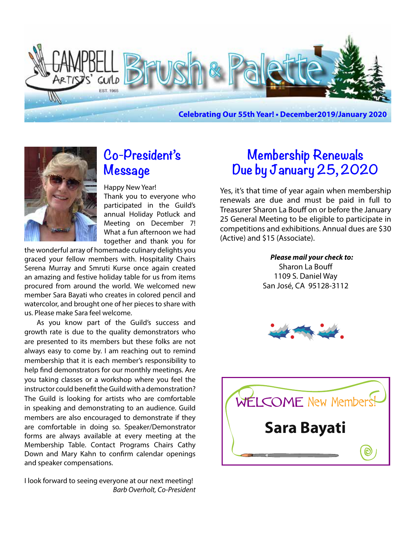



# **Co-President's Message**

Happy New Year! Thank you to everyone who participated in the Guild's annual Holiday Potluck and Meeting on December 7! What a fun afternoon we had together and thank you for

the wonderful array of homemade culinary delights you graced your fellow members with. Hospitality Chairs Serena Murray and Smruti Kurse once again created an amazing and festive holiday table for us from items procured from around the world. We welcomed new member Sara Bayati who creates in colored pencil and watercolor, and brought one of her pieces to share with us. Please make Sara feel welcome.

As you know part of the Guild's success and growth rate is due to the quality demonstrators who are presented to its members but these folks are not always easy to come by. I am reaching out to remind membership that it is each member's responsibility to help find demonstrators for our monthly meetings. Are you taking classes or a workshop where you feel the instructor could benefit the Guild with a demonstration? The Guild is looking for artists who are comfortable in speaking and demonstrating to an audience. Guild members are also encouraged to demonstrate if they are comfortable in doing so. Speaker/Demonstrator forms are always available at every meeting at the Membership Table. Contact Programs Chairs Cathy Down and Mary Kahn to confirm calendar openings and speaker compensations.

I look forward to seeing everyone at our next meeting!  *Barb Overholt, Co-President*

# **Membership Renewals Due by January 25, 2020**

Yes, it's that time of year again when membership renewals are due and must be paid in full to Treasurer Sharon La Bouff on or before the January 25 General Meeting to be eligible to participate in competitions and exhibitions. Annual dues are \$30 (Active) and \$15 (Associate).

> *Please mail your check to:* Sharon La Bouff 1109 S. Daniel Way San José, CA 95128-3112



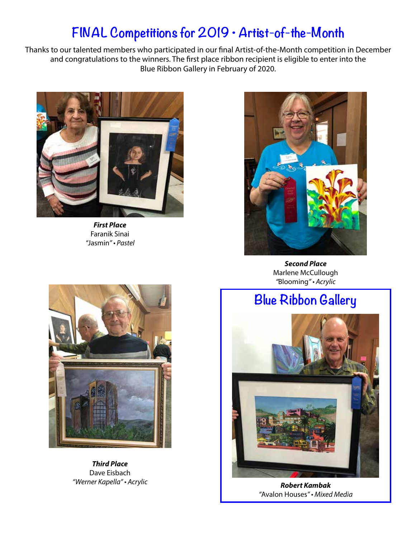# **FINAL Competitions for 2019 • Artist-of-the-Month**

Thanks to our talented members who participated in our final Artist-of-the-Month competition in December and congratulations to the winners. The first place ribbon recipient is eligible to enter into the Blue Ribbon Gallery in February of 2020.



*First Place* Faranik Sinai *"*Jasmin" • Pastel



*Second Place* Marlene McCullough *"*Blooming" • Acrylic

# **Blue Ribbon Gallery**



*Third Place* Dave Eisbach "Werner Kapella" • Acrylic



*Robert Kambak "*Avalon Houses" • Mixed Media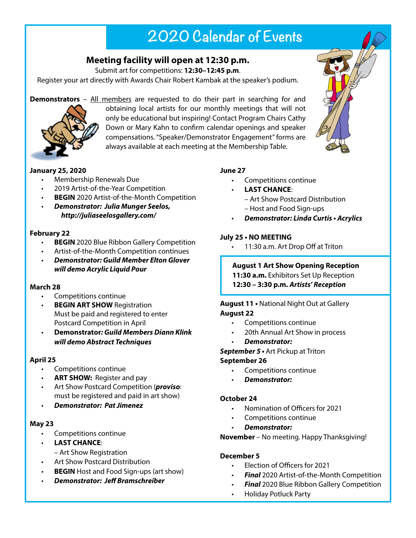# **2020 Calendar of Events**

## **Meeting facility will open at 12:30 p.m.**

Submit art for competitions: **12:30–12:45 p.m**.

Register your art directly with Awards Chair Robert Kambak at the speaker's podium.

**Demonstrators** – All members are requested to do their part in searching for and



obtaining local artists for our monthly meetings that will not only be educational but inspiring! Contact Program Chairs Cathy Down or Mary Kahn to confirm calendar openings and speaker compensations. "Speaker/Demonstrator Engagement" forms are always available at each meeting at the Membership Table.

### **January 25, 2020**

- **Membership Renewals Due**
- 2019 Artist-of-the-Year Competition
- **BEGIN** 2020 Artist-of-the-Month Competition
- • *Demonstrator: Julia Munger Seelos, http://juliaseelosgallery.com/*

### **February 22**

- **BEGIN** 2020 Blue Ribbon Gallery Competition
- Artist-of-the-Month Competition continues
- • *Demonstrator: Guild Member Elton Glover will demo Acrylic Liquid Pour*

### **March 28**

- Competitions continue
- **BEGIN ART SHOW Registration** Must be paid and registered to enter **Postcard Competition in April**
- **Demonstrator***: Guild Members Diann Klink will demo Abstract Techniques*

### **April 25**

- Competitions continue
- **ART SHOW:** Register and pay
- Art Show Postcard Competition (*proviso*: must be registered and paid in art show)
- *Demonstrator: Pat Jimenez*

### **May 23**

- Competitions continue
- **LAST CHANCE:** 
	- Art Show Registration
- • Art Show Postcard Distribution
- **BEGIN** Host and Food Sign-ups (art show)
- *Demonstrator: Jeff Bramschreiber*

### **June 27**

- • Competitions continue
- **LAST CHANCE:** 
	- Art Show Postcard Distribution
	- Host and Food Sign-ups
	- *Demonstrator***: Linda Curtis Acrylics**

### **July 25 • NO MEETING**

- 11:30 a.m. Art Drop Off at Triton
- **August 1 Art Show Opening Reception**
- **11:30 a.m.** Exhibitors Set Up Reception
- **12:30 3:30 p.m.** *Artists' Reception*

#### **August 11 •** National Night Out at Gallery **August 22**

- • Competitions continue
- 20th Annual Art Show in process
- *Demonstrator:*

**September 5 •** Art Pickup at Triton

### **September 26**

- Competitions continue
- *Demonstrator:*

### **October 24**

- Nomination of Officers for 2021
- Competitions continue
- *Demonstrator:*

**November** – No meeting. Happy Thanksgiving!

### **December 5**

- Election of Officers for 2021
- **Final** 2020 Artist-of-the-Month Competition
- **Final** 2020 Blue Ribbon Gallery Competition
- **Holiday Potluck Party**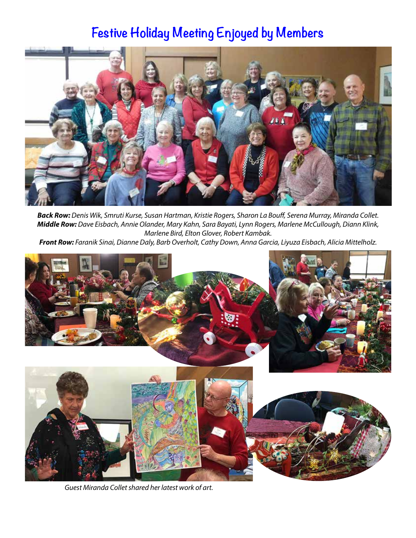# **Festive Holiday Meeting Enjoyed by Members**



*Back Row:* Denis Wik, Smruti Kurse, Susan Hartman, Kristie Rogers, Sharon La Bouff, Serena Murray, Miranda Collet. *Middle Row:* Dave Eisbach, Annie Olander, Mary Kahn, Sara Bayati, Lynn Rogers, Marlene McCullough, Diann Klink, Marlene Bird, Elton Glover, Robert Kambak.

*Front Row:* Faranik Sinai, Dianne Daly, Barb Overholt, Cathy Down, Anna Garcia, Liyuza Eisbach, Alicia Mittelholz.



Guest Miranda Collet shared her latest work of art.